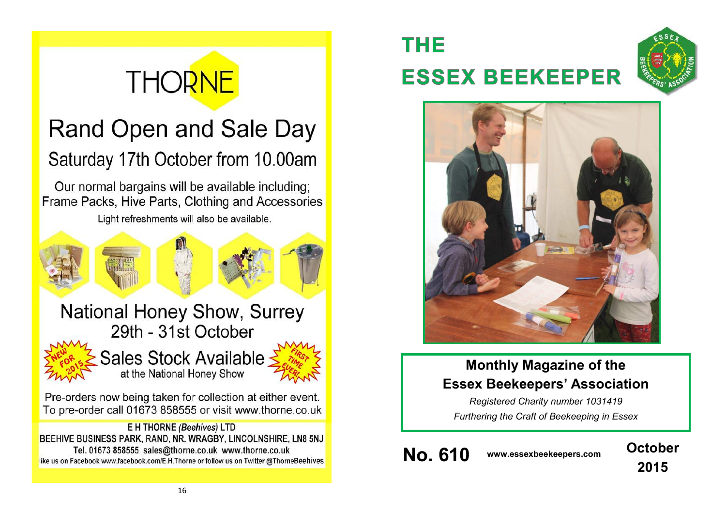# **THORNE**

# Rand Open and Sale Day Saturday 17th October from 10.00am

Our normal bargains will be available including; Frame Packs, Hive Parts, Clothing and Accessories

Light refreshments will also be available.



# **THE ESSEX BEEKEEPER**





# **Monthly Magazine of the Essex Beekeepers' Association**

*Registered Charity number 1031419 Furthering the Craft of Beekeeping in Essex*

**No. 610 www.essexbeekeepers.com October**

**2015**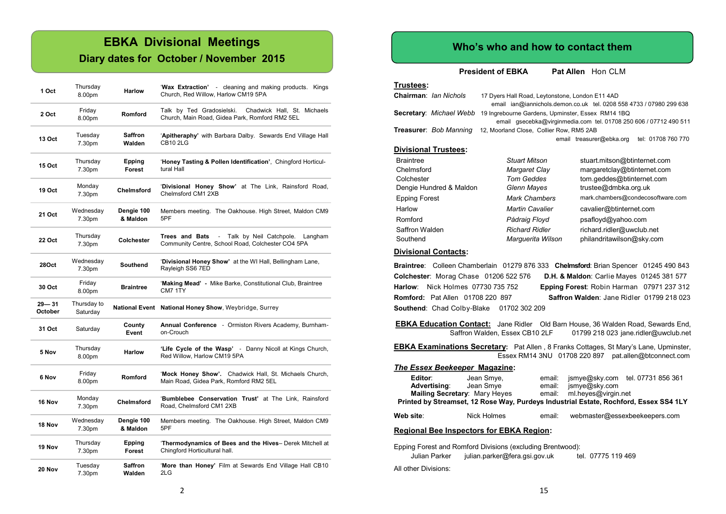# **EBKA Divisional Meetings**

### **Diary dates for October / November 2015**

| 1 Oct                | Thursday<br>8.00pm      | <b>Harlow</b>            | 'Wax Extraction' - cleaning and making products. Kings<br>Church, Red Willow, Harlow CM19 5PA                       |
|----------------------|-------------------------|--------------------------|---------------------------------------------------------------------------------------------------------------------|
| 2 Oct                | Friday<br>8.00pm        | Romford                  | Talk by Ted Gradosielski.<br>Chadwick Hall, St. Michaels<br>Church, Main Road, Gidea Park, Romford RM2 5EL          |
| 13 Oct               | Tuesday<br>7.30pm       | Saffron<br>Walden        | 'Apitheraphy' with Barbara Dalby. Sewards End Village Hall<br><b>CB10 2LG</b>                                       |
| <b>15 Oct</b>        | Thursday<br>7.30pm      | Epping<br>Forest         | 'Honey Tasting & Pollen Identification', Chingford Horticul-<br>tural Hall                                          |
| 19 Oct               | Monday<br>7.30pm        | Chelmsford               | 'Divisional Honey Show' at The Link, Rainsford Road,<br>Chelmsford CM1 2XB                                          |
| 21 Oct               | Wednesday<br>7.30pm     | Dengie 100<br>& Maldon   | Members meeting. The Oakhouse. High Street, Maldon CM9<br>5PF                                                       |
| 22 Oct               | Thursday<br>7.30pm      | Colchester               | Trees and Bats<br>Talk by Neil Catchpole.<br>Langham<br>$\sim$<br>Community Centre, School Road, Colchester CO4 5PA |
| 28Oct                | Wednesday<br>7.30pm     | Southend                 | 'Divisional Honey Show' at the WI Hall, Bellingham Lane,<br>Rayleigh SS6 7ED                                        |
| 30 Oct               | Friday<br>8.00pm        | <b>Braintree</b>         | 'Making Mead' - Mike Barke, Constitutional Club, Braintree<br>CM7 1TY                                               |
| $29 - 31$<br>October | Thursday to<br>Saturday |                          | National Event National Honey Show, Weybridge, Surrey                                                               |
| 31 Oct               | Saturday                | County<br>Event          | Annual Conference - Ormiston Rivers Academy, Burnham-<br>on-Crouch                                                  |
| 5 Nov                | Thursday<br>8.00pm      | <b>Harlow</b>            | 'Life Cycle of the Wasp' - Danny Nicoll at Kings Church,<br>Red Willow, Harlow CM19 5PA                             |
| 6 Nov                | Friday<br>8.00pm        | Romford                  | 'Mock Honey Show'. Chadwick Hall, St. Michaels Church,<br>Main Road, Gidea Park, Romford RM2 5EL                    |
| 16 Nov               | Monday<br>7.30pm        | <b>Chelmsford</b>        | 'Bumblebee Conservation Trust' at The Link, Rainsford<br>Road, Chelmsford CM1 2XB                                   |
| 18 Nov               | Wednesday<br>7.30pm     | Dengie 100<br>& Maldon   | Members meeting. The Oakhouse. High Street, Maldon CM9<br>5PF                                                       |
| 19 Nov               | Thursday<br>7.30pm      | <b>Epping</b><br>Forest  | 'Thermodynamics of Bees and the Hives- Derek Mitchell at<br>Chingford Horticultural hall.                           |
| 20 Nov               | Tuesday<br>7.30pm       | <b>Saffron</b><br>Walden | 'More than Honey' Film at Sewards End Village Hall CB10<br>2LG                                                      |

#### **Who's who and how to contact them**

**President of EBKA** Pat Allen Hon CLM

| Trustees:                     |                                                                                                                        |                                                |  |  |
|-------------------------------|------------------------------------------------------------------------------------------------------------------------|------------------------------------------------|--|--|
| Chairman: Ian Nichols         | 17 Dyers Hall Road, Leytonstone, London E11 4AD<br>email ian@iannichols.demon.co.uk tel. 0208 558 4733 / 07980 299 638 |                                                |  |  |
| Secretary: Michael Webb       | 19 Ingrebourne Gardens, Upminster, Essex RM14 1BQ<br>email gsecebka@virginmedia.com tel. 01708 250 606 / 07712 490 511 |                                                |  |  |
| <b>Treasurer: Bob Manning</b> | 12, Moorland Close, Collier Row, RM5 2AB                                                                               |                                                |  |  |
|                               |                                                                                                                        | email treasurer@ebka.org<br>tel: 01708 760 770 |  |  |
| <b>Divisional Trustees:</b>   |                                                                                                                        |                                                |  |  |
| <b>Braintree</b>              | <b>Stuart Mitson</b>                                                                                                   | stuart.mitson@btinternet.com                   |  |  |
| Chelmsford                    | Margaret Clay                                                                                                          | margaretclay@btinternet.com                    |  |  |
| Colchester                    | <b>Tom Geddes</b><br>tom.geddes@btinternet.com                                                                         |                                                |  |  |
| Dengie Hundred & Maldon       | Glenn Mayes                                                                                                            | trustee@dmbka.org.uk                           |  |  |
| <b>Epping Forest</b>          | Mark Chambers                                                                                                          | mark.chambers@condecosoftware.com              |  |  |
| Harlow                        | <b>Martin Cavalier</b>                                                                                                 | cavalier@btinternet.com                        |  |  |
| Romford                       | Pádraig Floyd                                                                                                          | psafloyd@yahoo.com                             |  |  |
| Saffron Walden                | <b>Richard Ridler</b>                                                                                                  | richard.ridler@uwclub.net                      |  |  |
| Southend                      | Marquerita Wilson                                                                                                      | philandritawilson@sky.com                      |  |  |

#### **Divisional Contacts:**

**Braintree**: Colleen Chamberlain 01279 876 333 **Chelmsford**: Brian Spencer 01245 490 843 **Colchester**: Morag Chase 01206 522 576 **D.H. & Maldon**: Carlie Mayes 01245 381 577 **Harlow**: Nick Holmes 07730 735 752 **Epping Forest**: Robin Harman 07971 237 312 **Romford:** Pat Allen 01708 220 897 **Saffron Walden**: Jane Ridler 01799 218 023 **Southend**: Chad Colby-Blake 01702 302 209

**EBKA Education Contact:** Jane Ridler Old Barn House, 36 Walden Road, Sewards End, Saffron Walden, Essex CB10 2LF 01799 218 023 jane.ridler@uwclub.net 01799 218 023 jane.ridler@uwclub.net

| EBKA Examinations Secretary: Pat Allen, 8 Franks Cottages, St Mary's Lane, Upminster, |  |                                                      |
|---------------------------------------------------------------------------------------|--|------------------------------------------------------|
|                                                                                       |  | Essex RM14 3NU 01708 220 897 pat.allen@btconnect.com |

#### *The Essex Beekeeper* **Magazine:**

| Editor:<br><b>Advertising:</b>                  | Jean Smye,<br>Jean Smye<br>Mailing Secretary: Mary Heyes | email:<br>email:<br>email: | ismye@sky.com<br>ml.heves@virgin.net | ismye@sky.com tel. 07731 856 361<br>Printed by Streamset, 12 Rose Way, Purdeys Industrial Estate, Rochford, Essex SS4 1LY |  |
|-------------------------------------------------|----------------------------------------------------------|----------------------------|--------------------------------------|---------------------------------------------------------------------------------------------------------------------------|--|
| Web site:                                       | Nick Holmes                                              | email:                     |                                      | webmaster@essexbeekeepers.com                                                                                             |  |
| <b>Regional Bee Inspectors for EBKA Region:</b> |                                                          |                            |                                      |                                                                                                                           |  |

Epping Forest and Romford Divisions (excluding Brentwood): Julian Parker julian.parker@fera.gsi.gov.uk tel. 07775 119 469

All other Divisions: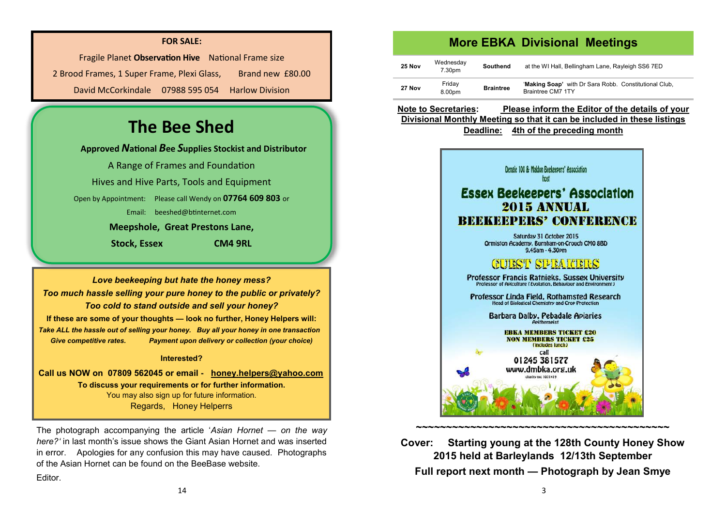#### **FOR SALE:**

Fragile Planet **Observation Hive** National Frame size 2 Brood Frames, 1 Super Frame, Plexi Glass, Brand new £80.00 David McCorkindale 07988 595 054 Harlow Division

# **The Bee Shed**

**Approved** *N***ational** *B***ee** *S***upplies Stockist and Distributor**

A Range of Frames and Foundation

Hives and Hive Parts, Tools and Equipment

Open by Appointment: Please call Wendy on **07764 609 803** or

Email: [beeshed@btinternet.com](mailto:beeshed@btinternet.com) 

**Meepshole, Great Prestons Lane,**

**Stock, Essex CM4 9RL**

*Love beekeeping but hate the honey mess? Too much hassle selling your pure honey to the public or privately? Too cold to stand outside and sell your honey?* **If these are some of your thoughts — look no further, Honey Helpers will:** *Take ALL the hassle out of selling your honey. Buy all your honey in one transaction Give competitive rates. Payment upon delivery or collection (your choice)*

#### **Interested?**

**Call us NOW on 07809 562045 or email - [honey.helpers@yahoo.com](mailto:honey.helpers@yahoo.com) To discuss your requirements or for further information.** You may also sign up for future information. Regards, Honey Helperrs

The photograph accompanying the article '*Asian Hornet — on the way here?'* in last month's issue shows the Giant Asian Hornet and was inserted in error. Apologies for any confusion this may have caused. Photographs of the Asian Hornet can be found on the BeeBase website.

**Editor** 

### **More EBKA Divisional Meetings**

| <b>25 Nov</b> | Wednesday<br>7.30pm | Southend         | at the WI Hall, Bellingham Lane, Rayleigh SS6 7ED                          |
|---------------|---------------------|------------------|----------------------------------------------------------------------------|
| 27 Nov        | Fridav<br>8.00pm    | <b>Braintree</b> | 'Making Soap' with Dr Sara Robb. Constitutional Club,<br>Braintree CM7 1TY |

**Note to Secretaries: Please inform the Editor of the details of your Divisional Monthly Meeting so that it can be included in these listings Deadline: 4th of the preceding month**



**Cover: Starting young at the 128th County Honey Show 2015 held at Barleylands 12/13th September Full report next month — Photograph by Jean Smye**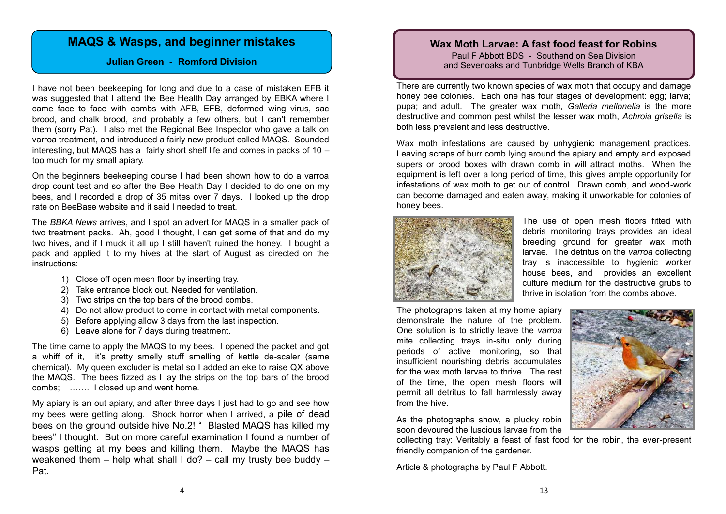## **MAQS & Wasps, and beginner mistakes**

#### **Julian Green - Romford Division**

I have not been beekeeping for long and due to a case of mistaken EFB it was suggested that I attend the Bee Health Day arranged by EBKA where I came face to face with combs with AFB, EFB, deformed wing virus, sac brood, and chalk brood, and probably a few others, but I can't remember them (sorry Pat). I also met the Regional Bee Inspector who gave a talk on varroa treatment, and introduced a fairly new product called MAQS. Sounded interesting, but MAQS has a fairly short shelf life and comes in packs of 10 – too much for my small apiary.

On the beginners beekeeping course I had been shown how to do a varroa drop count test and so after the Bee Health Day I decided to do one on my bees, and I recorded a drop of 35 mites over 7 days. I looked up the drop rate on BeeBase website and it said I needed to treat.

The *BBKA News* arrives, and I spot an advert for MAQS in a smaller pack of two treatment packs. Ah, good I thought, I can get some of that and do my two hives, and if I muck it all up I still haven't ruined the honey. I bought a pack and applied it to my hives at the start of August as directed on the instructions:

- 1) Close off open mesh floor by inserting tray.
- 2) Take entrance block out. Needed for ventilation.
- 3) Two strips on the top bars of the brood combs.
- 4) Do not allow product to come in contact with metal components.
- 5) Before applying allow 3 days from the last inspection.
- 6) Leave alone for 7 days during treatment.

The time came to apply the MAQS to my bees. I opened the packet and got a whiff of it, it's pretty smelly stuff smelling of kettle de-scaler (same chemical). My queen excluder is metal so I added an eke to raise QX above the MAQS. The bees fizzed as I lay the strips on the top bars of the brood combs; ……. I closed up and went home.

My apiary is an out apiary, and after three days I just had to go and see how my bees were getting along. Shock horror when I arrived, a pile of dead bees on the ground outside hive No.2! " Blasted MAQS has killed my bees" I thought. But on more careful examination I found a number of wasps getting at my bees and killing them. Maybe the MAQS has weakened them – help what shall I do? – call my trusty bee buddy – Pat.

#### **Wax Moth Larvae: A fast food feast for Robins** Paul F Abbott BDS - Southend on Sea Division

and Sevenoaks and Tunbridge Wells Branch of KBA

There are currently two known species of wax moth that occupy and damage honey bee colonies. Each one has four stages of development: egg; larva; pupa; and adult. The greater wax moth, *Galleria mellonella* is the more destructive and common pest whilst the lesser wax moth, *Achroia grisella* is both less prevalent and less destructive.

Wax moth infestations are caused by unhygienic management practices. Leaving scraps of burr comb lying around the apiary and empty and exposed supers or brood boxes with drawn comb in will attract moths. When the equipment is left over a long period of time, this gives ample opportunity for infestations of wax moth to get out of control. Drawn comb, and wood-work can become damaged and eaten away, making it unworkable for colonies of honey bees.



The use of open mesh floors fitted with debris monitoring trays provides an ideal breeding ground for greater wax moth larvae. The detritus on the *varroa* collecting tray is inaccessible to hygienic worker house bees, and provides an excellent culture medium for the destructive grubs to thrive in isolation from the combs above.

The photographs taken at my home apiary demonstrate the nature of the problem. One solution is to strictly leave the *varroa* mite collecting trays in-situ only during periods of active monitoring, so that insufficient nourishing debris accumulates for the wax moth larvae to thrive. The rest of the time, the open mesh floors will permit all detritus to fall harmlessly away from the hive.

As the photographs show, a plucky robin soon devoured the luscious larvae from the

collecting tray: Veritably a feast of fast food for the robin, the ever-present friendly companion of the gardener.

Article & photographs by Paul F Abbott.

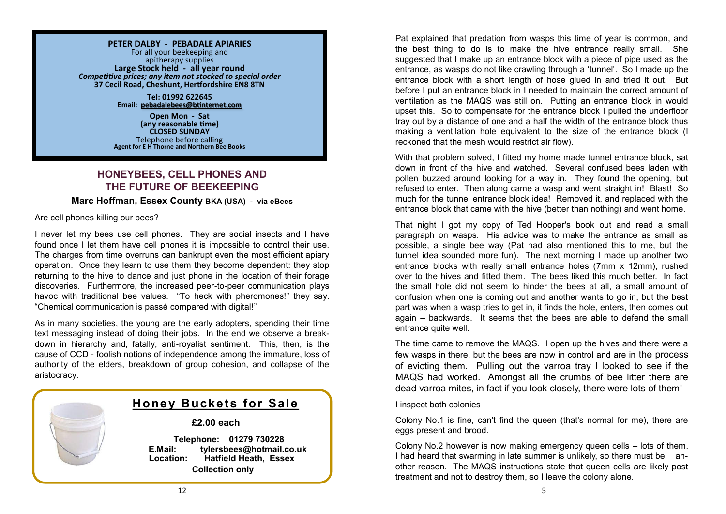#### **PETER DALBY - PEBADALE APIARIES**

For all your beekeeping and apitherapy supplies **Large Stock held - all year round** *Competitive prices; any item not stocked to special order* **37 Cecil Road, Cheshunt, Hertfordshire EN8 8TN**

> **Tel: 01992 622645 Email: [pebadalebees@btinternet.com](mailto:pebadalebees@btinternet.com)**

**Open Mon - Sat (any reasonable time) CLOSED SUNDAY** Telephone before calling **Agent for E H Thorne and Northern Bee Books**

#### **HONEYBEES, CELL PHONES AND THE FUTURE OF BEEKEEPING**

#### **Marc Hoffman, Essex County BKA (USA) - via eBees**

Are cell phones killing our bees?

I never let my bees use cell phones. They are social insects and I have found once I let them have cell phones it is impossible to control their use. The charges from time overruns can bankrupt even the most efficient apiary operation. Once they learn to use them they become dependent: they stop returning to the hive to dance and just phone in the location of their forage discoveries. Furthermore, the increased peer-to-peer communication plays havoc with traditional bee values. "To heck with pheromones!" they say. "Chemical communication is passé compared with digital!"

As in many societies, the young are the early adopters, spending their time text messaging instead of doing their jobs. In the end we observe a breakdown in hierarchy and, fatally, anti-royalist sentiment. This, then, is the cause of CCD - foolish notions of independence among the immature, loss of authority of the elders, breakdown of group cohesion, and collapse of the aristocracy.



# **Honey Buckets for Sale**

#### **£2.00 each**

 **Telephone: 01279 730228 E.Mail: tylersbees@hotmail.co.uk Location: Hatfield Heath, Essex Collection only**

Pat explained that predation from wasps this time of year is common, and the best thing to do is to make the hive entrance really small. She suggested that I make up an entrance block with a piece of pipe used as the entrance, as wasps do not like crawling through a 'tunnel'. So I made up the entrance block with a short length of hose glued in and tried it out. But before I put an entrance block in I needed to maintain the correct amount of ventilation as the MAQS was still on. Putting an entrance block in would upset this. So to compensate for the entrance block I pulled the underfloor tray out by a distance of one and a half the width of the entrance block thus making a ventilation hole equivalent to the size of the entrance block (I reckoned that the mesh would restrict air flow).

With that problem solved, I fitted my home made tunnel entrance block, sat down in front of the hive and watched. Several confused bees laden with pollen buzzed around looking for a way in. They found the opening, but refused to enter. Then along came a wasp and went straight in! Blast! So much for the tunnel entrance block idea! Removed it, and replaced with the entrance block that came with the hive (better than nothing) and went home.

That night I got my copy of Ted Hooper's book out and read a small paragraph on wasps. His advice was to make the entrance as small as possible, a single bee way (Pat had also mentioned this to me, but the tunnel idea sounded more fun). The next morning I made up another two entrance blocks with really small entrance holes (7mm x 12mm), rushed over to the hives and fitted them. The bees liked this much better. In fact the small hole did not seem to hinder the bees at all, a small amount of confusion when one is coming out and another wants to go in, but the best part was when a wasp tries to get in, it finds the hole, enters, then comes out again – backwards. It seems that the bees are able to defend the small entrance quite well.

The time came to remove the MAQS. I open up the hives and there were a few wasps in there, but the bees are now in control and are in the process of evicting them. Pulling out the varroa tray I looked to see if the MAQS had worked. Amongst all the crumbs of bee litter there are dead varroa mites, in fact if you look closely, there were lots of them!

I inspect both colonies -

Colony No.1 is fine, can't find the queen (that's normal for me), there are eggs present and brood.

Colony No.2 however is now making emergency queen cells – lots of them. I had heard that swarming in late summer is unlikely, so there must be another reason. The MAQS instructions state that queen cells are likely post treatment and not to destroy them, so I leave the colony alone.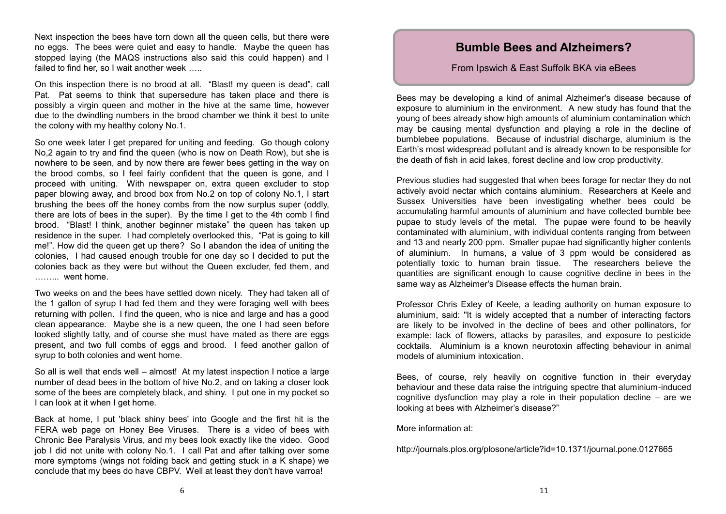Next inspection the bees have torn down all the queen cells, but there were no eggs. The bees were quiet and easy to handle. Maybe the queen has stopped laying (the MAQS instructions also said this could happen) and I failed to find her, so I wait another week .....

On this inspection there is no brood at all. "Blast! my queen is dead", call Pat. Pat seems to think that supersedure has taken place and there is possibly a virgin queen and mother in the hive at the same time, however due to the dwindling numbers in the brood chamber we think it best to unite the colony with my healthy colony No.1.

So one week later I get prepared for uniting and feeding. Go though colony No,2 again to try and find the queen (who is now on Death Row), but she is nowhere to be seen, and by now there are fewer bees getting in the way on the brood combs, so I feel fairly confident that the queen is gone, and I proceed with uniting. With newspaper on, extra queen excluder to stop paper blowing away, and brood box from No.2 on top of colony No.1, I start brushing the bees off the honey combs from the now surplus super (oddly, there are lots of bees in the super). By the time I get to the 4th comb I find brood. "Blast! I think, another beginner mistake" the queen has taken up residence in the super. I had completely overlooked this, "Pat is going to kill me!". How did the queen get up there? So I abandon the idea of uniting the colonies, I had caused enough trouble for one day so I decided to put the colonies back as they were but without the Queen excluder, fed them, and ……... went home.

Two weeks on and the bees have settled down nicely. They had taken all of the 1 gallon of syrup I had fed them and they were foraging well with bees returning with pollen. I find the queen, who is nice and large and has a good clean appearance. Maybe she is a new queen, the one I had seen before looked slightly tatty, and of course she must have mated as there are eggs present, and two full combs of eggs and brood. I feed another gallon of syrup to both colonies and went home.

So all is well that ends well – almost! At my latest inspection I notice a large number of dead bees in the bottom of hive No.2, and on taking a closer look some of the bees are completely black, and shiny. I put one in my pocket so I can look at it when I get home.

Back at home, I put 'black shiny bees' into Google and the first hit is the FERA web page on Honey Bee Viruses. There is a video of bees with Chronic Bee Paralysis Virus, and my bees look exactly like the video. Good job I did not unite with colony No.1. I call Pat and after talking over some more symptoms (wings not folding back and getting stuck in a K shape) we conclude that my bees do have CBPV. Well at least they don't have varroa!

# **Bumble Bees and Alzheimers?**

#### From Ipswich & East Suffolk BKA via eBees

Bees may be developing a kind of animal Alzheimer's disease because of exposure to aluminium in the environment. A new study has found that the young of bees already show high amounts of aluminium contamination which may be causing mental dysfunction and playing a role in the decline of bumblebee populations. Because of industrial discharge, aluminium is the Earth's most widespread pollutant and is already known to be responsible for the death of fish in acid lakes, forest decline and low crop productivity.

Previous studies had suggested that when bees forage for nectar they do not actively avoid nectar which contains aluminium. Researchers at Keele and Sussex Universities have been investigating whether bees could be accumulating harmful amounts of aluminium and have collected bumble bee pupae to study levels of the metal. The pupae were found to be heavily contaminated with aluminium, with individual contents ranging from between and 13 and nearly 200 ppm. Smaller pupae had significantly higher contents of aluminium. In humans, a value of 3 ppm would be considered as potentially toxic to human brain tissue. The researchers believe the quantities are significant enough to cause cognitive decline in bees in the same way as Alzheimer's Disease effects the human brain.

Professor Chris Exley of Keele, a leading authority on human exposure to aluminium, said: "It is widely accepted that a number of interacting factors are likely to be involved in the decline of bees and other pollinators, for example: lack of flowers, attacks by parasites, and exposure to pesticide cocktails. Aluminium is a known neurotoxin affecting behaviour in animal models of aluminium intoxication.

Bees, of course, rely heavily on cognitive function in their everyday behaviour and these data raise the intriguing spectre that aluminium-induced cognitive dysfunction may play a role in their population decline – are we looking at bees with Alzheimer's disease?"

More information at:

http://journals.plos.org/plosone/article?id=10.1371/journal.pone.0127665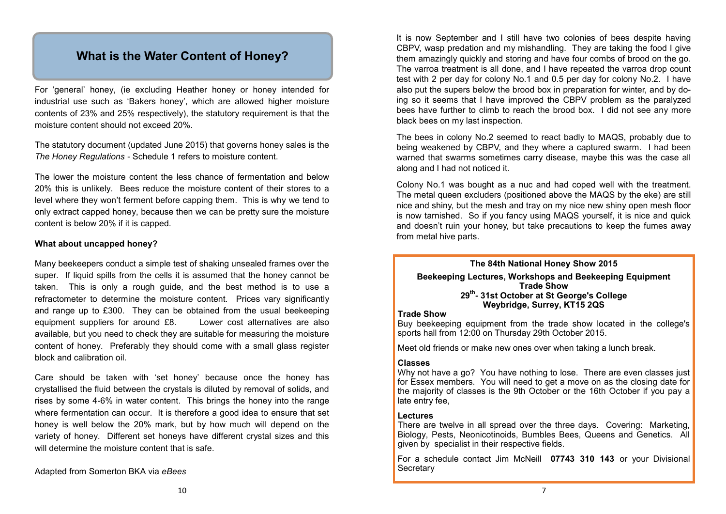# **What is the Water Content of Honey?**

For 'general' honey, (ie excluding Heather honey or honey intended for industrial use such as 'Bakers honey', which are allowed higher moisture contents of 23% and 25% respectively), the statutory requirement is that the moisture content should not exceed 20%.

The statutory document (updated June 2015) that governs honey sales is the *The Honey Regulations* - Schedule 1 refers to moisture content.

The lower the moisture content the less chance of fermentation and below 20% this is unlikely. Bees reduce the moisture content of their stores to a level where they won't ferment before capping them. This is why we tend to only extract capped honey, because then we can be pretty sure the moisture content is below 20% if it is capped.

#### **What about uncapped honey?**

Many beekeepers conduct a simple test of shaking unsealed frames over the super. If liquid spills from the cells it is assumed that the honey cannot be taken. This is only a rough guide, and the best method is to use a refractometer to determine the moisture content. Prices vary significantly and range up to £300. They can be obtained from the usual beekeeping equipment suppliers for around £8. Lower cost alternatives are also available, but you need to check they are suitable for measuring the moisture content of honey. Preferably they should come with a small glass register block and calibration oil.

Care should be taken with 'set honey' because once the honey has crystallised the fluid between the crystals is diluted by removal of solids, and rises by some 4-6% in water content. This brings the honey into the range where fermentation can occur. It is therefore a good idea to ensure that set honey is well below the 20% mark, but by how much will depend on the variety of honey. Different set honeys have different crystal sizes and this will determine the moisture content that is safe.

Adapted from Somerton BKA via *eBees*

It is now September and I still have two colonies of bees despite having CBPV, wasp predation and my mishandling. They are taking the food I give them amazingly quickly and storing and have four combs of brood on the go. The varroa treatment is all done, and I have repeated the varroa drop count test with 2 per day for colony No.1 and 0.5 per day for colony No.2. I have also put the supers below the brood box in preparation for winter, and by doing so it seems that I have improved the CBPV problem as the paralyzed bees have further to climb to reach the brood box. I did not see any more black bees on my last inspection.

The bees in colony No.2 seemed to react badly to MAQS, probably due to being weakened by CBPV, and they where a captured swarm. I had been warned that swarms sometimes carry disease, maybe this was the case all along and I had not noticed it.

Colony No.1 was bought as a nuc and had coped well with the treatment. The metal queen excluders (positioned above the MAQS by the eke) are still nice and shiny, but the mesh and tray on my nice new shiny open mesh floor is now tarnished. So if you fancy using MAQS yourself, it is nice and quick and doesn't ruin your honey, but take precautions to keep the fumes away from metal hive parts.

#### **The 84th National Honey Show 2015**

**Beekeeping Lectures, Workshops and Beekeeping Equipment Trade Show 29th - 31st October at St George's College Weybridge, Surrey, KT15 2QS**

#### **Trade Show**

Buy beekeeping equipment from the trade show located in the college's sports hall from 12:00 on Thursday 29th October 2015.

Meet old friends or make new ones over when taking a lunch break.

#### **Classes**

Why not have a go? You have nothing to lose. There are even classes just for Essex members. You will need to get a move on as the closing date for the majority of classes is the 9th October or the 16th October if you pay a late entry fee,

#### **Lectures**

There are twelve in all spread over the three days. Covering: Marketing, Biology, Pests, Neonicotinoids, Bumbles Bees, Queens and Genetics. All given by specialist in their respective fields.

For a schedule contact Jim McNeill **07743 310 143** or your Divisional **Secretary**